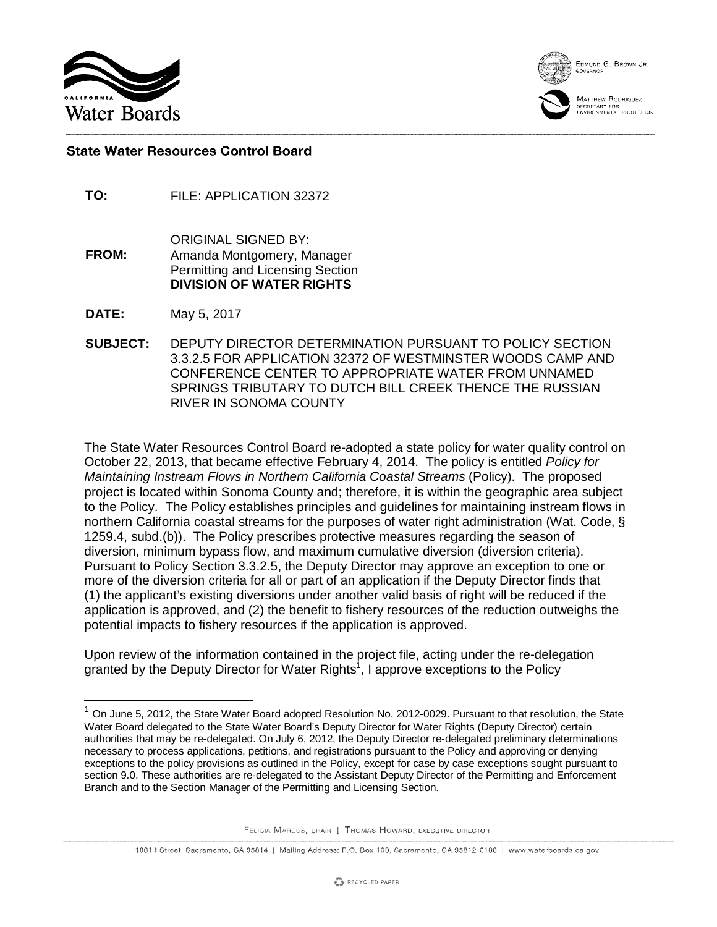

EDMUND G. BROWN JR

MATTHEW RODRIQUEZ SEGRETARY FOR<br>ENVIRONMENTAL PROTECTION

## **State Water Resources Control Board**

- **TO:** FILE: APPLICATION 32372
- ORIGINAL SIGNED BY: **FROM:** Amanda Montgomery, Manager Permitting and Licensing Section **DIVISION OF WATER RIGHTS**
- **DATE:** May 5, 2017

 $\overline{a}$ 

**SUBJECT:** DEPUTY DIRECTOR DETERMINATION PURSUANT TO POLICY SECTION 3.3.2.5 FOR APPLICATION 32372 OF WESTMINSTER WOODS CAMP AND CONFERENCE CENTER TO APPROPRIATE WATER FROM UNNAMED SPRINGS TRIBUTARY TO DUTCH BILL CREEK THENCE THE RUSSIAN RIVER IN SONOMA COUNTY

The State Water Resources Control Board re-adopted a state policy for water quality control on October 22, 2013, that became effective February 4, 2014. The policy is entitled *Policy for Maintaining Instream Flows in Northern California Coastal Streams* (Policy). The proposed project is located within Sonoma County and; therefore, it is within the geographic area subject to the Policy. The Policy establishes principles and guidelines for maintaining instream flows in northern California coastal streams for the purposes of water right administration (Wat. Code, § 1259.4, subd.(b)). The Policy prescribes protective measures regarding the season of diversion, minimum bypass flow, and maximum cumulative diversion (diversion criteria). Pursuant to Policy Section 3.3.2.5, the Deputy Director may approve an exception to one or more of the diversion criteria for all or part of an application if the Deputy Director finds that (1) the applicant's existing diversions under another valid basis of right will be reduced if the application is approved, and (2) the benefit to fishery resources of the reduction outweighs the potential impacts to fishery resources if the application is approved.

Upon review of the information contained in the project file, acting under the re-delegation granted by the Deputy Director for Water Rights<sup>1</sup>, I approve exceptions to the Policy

<sup>1</sup> On June 5, 2012, the State Water Board adopted Resolution No. 2012-0029. Pursuant to that resolution, the State Water Board delegated to the State Water Board's Deputy Director for Water Rights (Deputy Director) certain authorities that may be re-delegated. On July 6, 2012, the Deputy Director re-delegated preliminary determinations necessary to process applications, petitions, and registrations pursuant to the Policy and approving or denying exceptions to the policy provisions as outlined in the Policy, except for case by case exceptions sought pursuant to section 9.0. These authorities are re-delegated to the Assistant Deputy Director of the Permitting and Enforcement Branch and to the Section Manager of the Permitting and Licensing Section.

FELICIA MARCUS, CHAIR | THOMAS HOWARD, EXECUTIVE DIRECTOR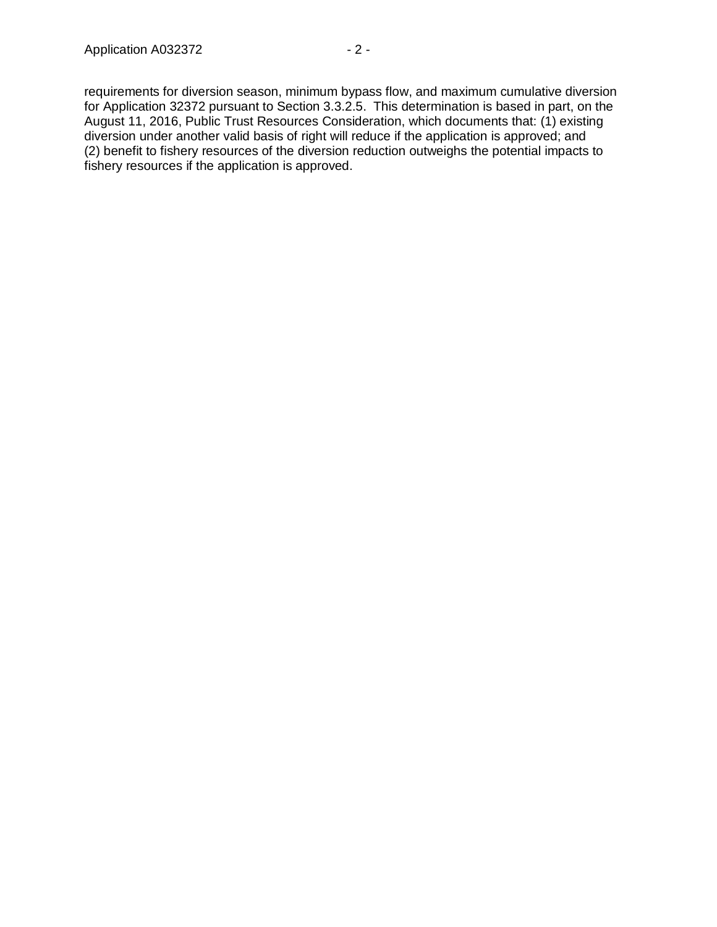requirements for diversion season, minimum bypass flow, and maximum cumulative diversion for Application 32372 pursuant to Section 3.3.2.5. This determination is based in part, on the August 11, 2016, Public Trust Resources Consideration, which documents that: (1) existing diversion under another valid basis of right will reduce if the application is approved; and (2) benefit to fishery resources of the diversion reduction outweighs the potential impacts to fishery resources if the application is approved.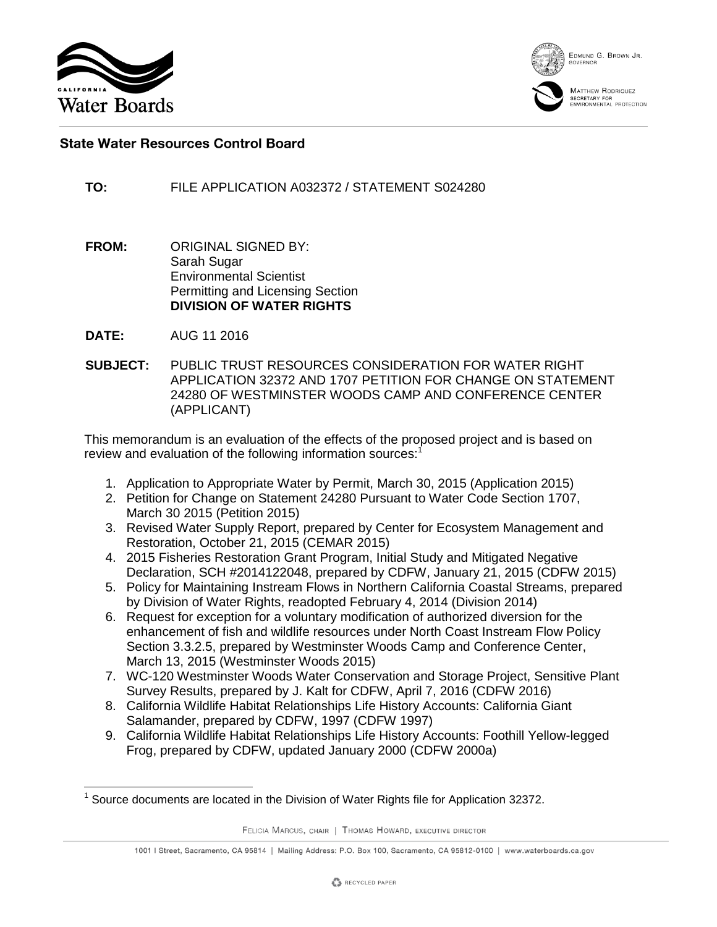





## **State Water Resources Control Board**

**TO:** FILE APPLICATION A032372 / STATEMENT S024280

- **FROM:** ORIGINAL SIGNED BY: Sarah Sugar Environmental Scientist Permitting and Licensing Section **DIVISION OF WATER RIGHTS**
- **DATE:** AUG 11 2016
- **SUBJECT:** PUBLIC TRUST RESOURCES CONSIDERATION FOR WATER RIGHT APPLICATION 32372 AND 1707 PETITION FOR CHANGE ON STATEMENT 24280 OF WESTMINSTER WOODS CAMP AND CONFERENCE CENTER (APPLICANT)

This memorandum is an evaluation of the effects of the proposed project and is based on review and evaluation of the following information sources:<sup>1</sup>

- 1. Application to Appropriate Water by Permit, March 30, 2015 (Application 2015)
- 2. Petition for Change on Statement 24280 Pursuant to Water Code Section 1707, March 30 2015 (Petition 2015)
- 3. Revised Water Supply Report, prepared by Center for Ecosystem Management and Restoration, October 21, 2015 (CEMAR 2015)
- 4. 2015 Fisheries Restoration Grant Program, Initial Study and Mitigated Negative Declaration, SCH #2014122048, prepared by CDFW, January 21, 2015 (CDFW 2015)
- 5. Policy for Maintaining Instream Flows in Northern California Coastal Streams, prepared by Division of Water Rights, readopted February 4, 2014 (Division 2014)
- 6. Request for exception for a voluntary modification of authorized diversion for the enhancement of fish and wildlife resources under North Coast Instream Flow Policy Section 3.3.2.5, prepared by Westminster Woods Camp and Conference Center, March 13, 2015 (Westminster Woods 2015)
- 7. WC-120 Westminster Woods Water Conservation and Storage Project, Sensitive Plant Survey Results, prepared by J. Kalt for CDFW, April 7, 2016 (CDFW 2016)
- 8. California Wildlife Habitat Relationships Life History Accounts: California Giant Salamander, prepared by CDFW, 1997 (CDFW 1997)
- 9. California Wildlife Habitat Relationships Life History Accounts: Foothill Yellow-legged Frog, prepared by CDFW, updated January 2000 (CDFW 2000a)

FELICIA MARCUS, CHAIR | THOMAS HOWARD, EXECUTIVE DIRECTOR

 $1$  Source documents are located in the Division of Water Rights file for Application 32372.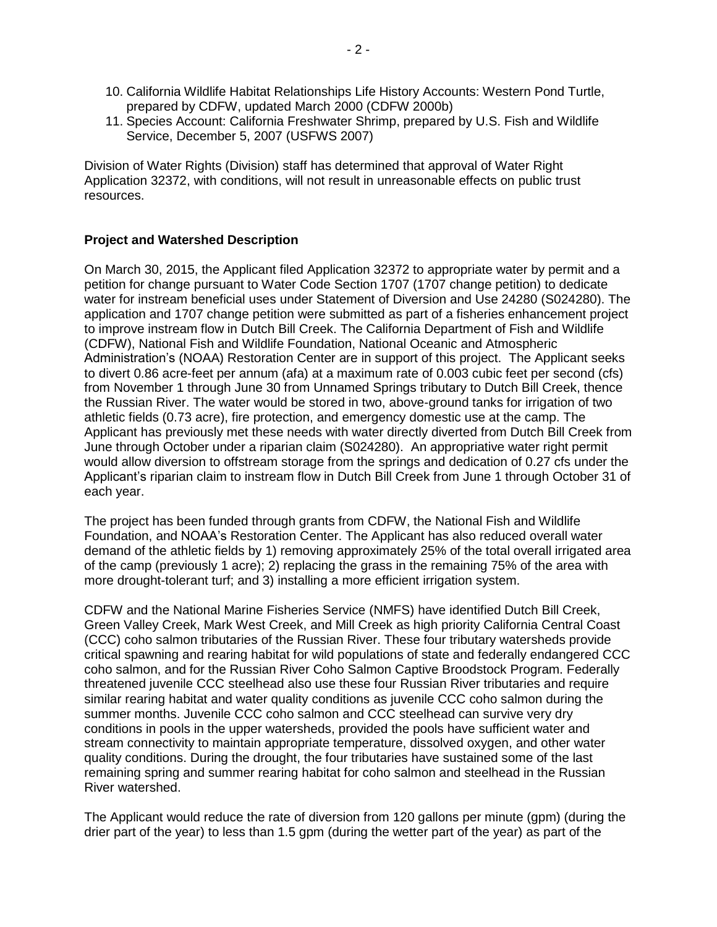- 10. California Wildlife Habitat Relationships Life History Accounts: Western Pond Turtle, prepared by CDFW, updated March 2000 (CDFW 2000b)
- 11. Species Account: California Freshwater Shrimp, prepared by U.S. Fish and Wildlife Service, December 5, 2007 (USFWS 2007)

Division of Water Rights (Division) staff has determined that approval of Water Right Application 32372, with conditions, will not result in unreasonable effects on public trust resources.

## **Project and Watershed Description**

On March 30, 2015, the Applicant filed Application 32372 to appropriate water by permit and a petition for change pursuant to Water Code Section 1707 (1707 change petition) to dedicate water for instream beneficial uses under Statement of Diversion and Use 24280 (S024280). The application and 1707 change petition were submitted as part of a fisheries enhancement project to improve instream flow in Dutch Bill Creek. The California Department of Fish and Wildlife (CDFW), National Fish and Wildlife Foundation, National Oceanic and Atmospheric Administration's (NOAA) Restoration Center are in support of this project. The Applicant seeks to divert 0.86 acre-feet per annum (afa) at a maximum rate of 0.003 cubic feet per second (cfs) from November 1 through June 30 from Unnamed Springs tributary to Dutch Bill Creek, thence the Russian River. The water would be stored in two, above-ground tanks for irrigation of two athletic fields (0.73 acre), fire protection, and emergency domestic use at the camp. The Applicant has previously met these needs with water directly diverted from Dutch Bill Creek from June through October under a riparian claim (S024280). An appropriative water right permit would allow diversion to offstream storage from the springs and dedication of 0.27 cfs under the Applicant's riparian claim to instream flow in Dutch Bill Creek from June 1 through October 31 of each year.

The project has been funded through grants from CDFW, the National Fish and Wildlife Foundation, and NOAA's Restoration Center. The Applicant has also reduced overall water demand of the athletic fields by 1) removing approximately 25% of the total overall irrigated area of the camp (previously 1 acre); 2) replacing the grass in the remaining 75% of the area with more drought-tolerant turf; and 3) installing a more efficient irrigation system.

CDFW and the National Marine Fisheries Service (NMFS) have identified Dutch Bill Creek, Green Valley Creek, Mark West Creek, and Mill Creek as high priority California Central Coast (CCC) coho salmon tributaries of the Russian River. These four tributary watersheds provide critical spawning and rearing habitat for wild populations of state and federally endangered CCC coho salmon, and for the Russian River Coho Salmon Captive Broodstock Program. Federally threatened juvenile CCC steelhead also use these four Russian River tributaries and require similar rearing habitat and water quality conditions as juvenile CCC coho salmon during the summer months. Juvenile CCC coho salmon and CCC steelhead can survive very dry conditions in pools in the upper watersheds, provided the pools have sufficient water and stream connectivity to maintain appropriate temperature, dissolved oxygen, and other water quality conditions. During the drought, the four tributaries have sustained some of the last remaining spring and summer rearing habitat for coho salmon and steelhead in the Russian River watershed.

The Applicant would reduce the rate of diversion from 120 gallons per minute (gpm) (during the drier part of the year) to less than 1.5 gpm (during the wetter part of the year) as part of the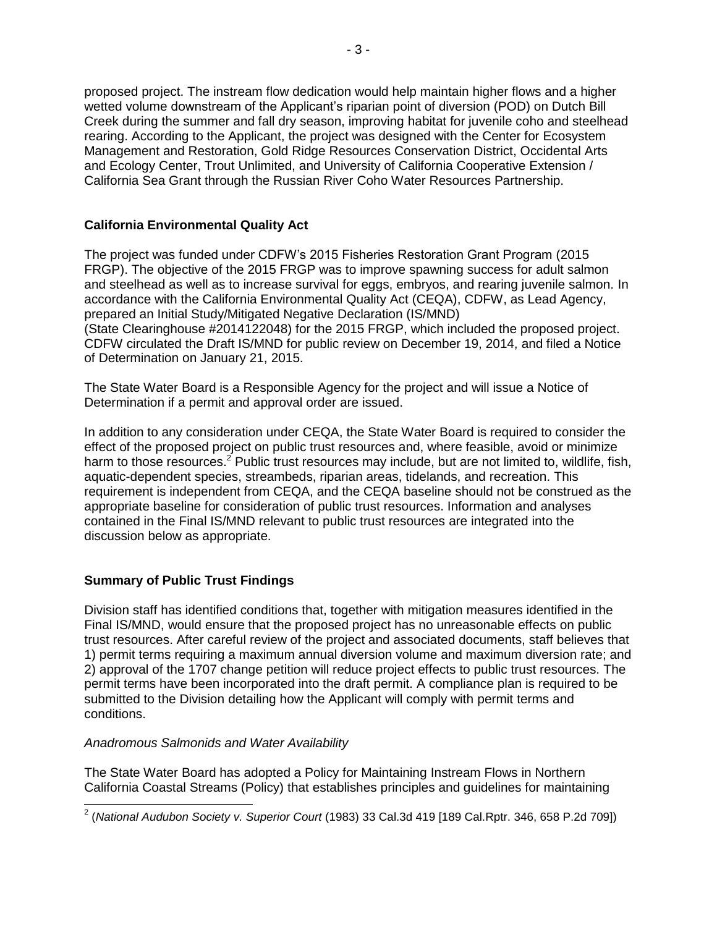proposed project. The instream flow dedication would help maintain higher flows and a higher wetted volume downstream of the Applicant's riparian point of diversion (POD) on Dutch Bill Creek during the summer and fall dry season, improving habitat for juvenile coho and steelhead rearing. According to the Applicant, the project was designed with the Center for Ecosystem Management and Restoration, Gold Ridge Resources Conservation District, Occidental Arts and Ecology Center, Trout Unlimited, and University of California Cooperative Extension / California Sea Grant through the Russian River Coho Water Resources Partnership.

# **California Environmental Quality Act**

The project was funded under CDFW's 2015 Fisheries Restoration Grant Program (2015 FRGP). The objective of the 2015 FRGP was to improve spawning success for adult salmon and steelhead as well as to increase survival for eggs, embryos, and rearing juvenile salmon. In accordance with the California Environmental Quality Act (CEQA), CDFW, as Lead Agency, prepared an Initial Study/Mitigated Negative Declaration (IS/MND) (State Clearinghouse #2014122048) for the 2015 FRGP, which included the proposed project. CDFW circulated the Draft IS/MND for public review on December 19, 2014, and filed a Notice of Determination on January 21, 2015.

The State Water Board is a Responsible Agency for the project and will issue a Notice of Determination if a permit and approval order are issued.

In addition to any consideration under CEQA, the State Water Board is required to consider the effect of the proposed project on public trust resources and, where feasible, avoid or minimize harm to those resources.<sup>2</sup> Public trust resources may include, but are not limited to, wildlife, fish, aquatic-dependent species, streambeds, riparian areas, tidelands, and recreation. This requirement is independent from CEQA, and the CEQA baseline should not be construed as the appropriate baseline for consideration of public trust resources. Information and analyses contained in the Final IS/MND relevant to public trust resources are integrated into the discussion below as appropriate.

# **Summary of Public Trust Findings**

Division staff has identified conditions that, together with mitigation measures identified in the Final IS/MND, would ensure that the proposed project has no unreasonable effects on public trust resources. After careful review of the project and associated documents, staff believes that 1) permit terms requiring a maximum annual diversion volume and maximum diversion rate; and 2) approval of the 1707 change petition will reduce project effects to public trust resources. The permit terms have been incorporated into the draft permit. A compliance plan is required to be submitted to the Division detailing how the Applicant will comply with permit terms and conditions.

## *Anadromous Salmonids and Water Availability*

The State Water Board has adopted a Policy for Maintaining Instream Flows in Northern California Coastal Streams (Policy) that establishes principles and guidelines for maintaining

 2 (*National Audubon Society v. Superior Court* (1983) 33 Cal.3d 419 [189 Cal.Rptr. 346, 658 P.2d 709])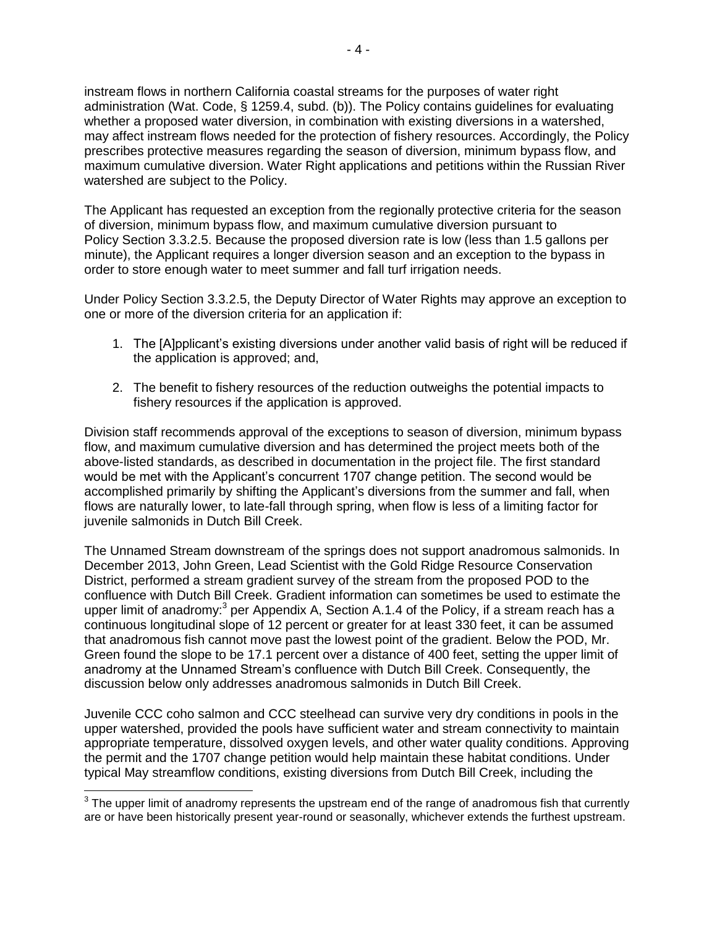instream flows in northern California coastal streams for the purposes of water right administration (Wat. Code, § 1259.4, subd. (b)). The Policy contains guidelines for evaluating whether a proposed water diversion, in combination with existing diversions in a watershed, may affect instream flows needed for the protection of fishery resources. Accordingly, the Policy prescribes protective measures regarding the season of diversion, minimum bypass flow, and maximum cumulative diversion. Water Right applications and petitions within the Russian River watershed are subject to the Policy.

The Applicant has requested an exception from the regionally protective criteria for the season of diversion, minimum bypass flow, and maximum cumulative diversion pursuant to Policy Section 3.3.2.5. Because the proposed diversion rate is low (less than 1.5 gallons per minute), the Applicant requires a longer diversion season and an exception to the bypass in order to store enough water to meet summer and fall turf irrigation needs.

Under Policy Section 3.3.2.5, the Deputy Director of Water Rights may approve an exception to one or more of the diversion criteria for an application if:

- 1. The [A]pplicant's existing diversions under another valid basis of right will be reduced if the application is approved; and,
- 2. The benefit to fishery resources of the reduction outweighs the potential impacts to fishery resources if the application is approved.

Division staff recommends approval of the exceptions to season of diversion, minimum bypass flow, and maximum cumulative diversion and has determined the project meets both of the above-listed standards, as described in documentation in the project file. The first standard would be met with the Applicant's concurrent 1707 change petition. The second would be accomplished primarily by shifting the Applicant's diversions from the summer and fall, when flows are naturally lower, to late-fall through spring, when flow is less of a limiting factor for juvenile salmonids in Dutch Bill Creek.

The Unnamed Stream downstream of the springs does not support anadromous salmonids. In December 2013, John Green, Lead Scientist with the Gold Ridge Resource Conservation District, performed a stream gradient survey of the stream from the proposed POD to the confluence with Dutch Bill Creek. Gradient information can sometimes be used to estimate the upper limit of anadromy: $3$  per Appendix A, Section A.1.4 of the Policy, if a stream reach has a continuous longitudinal slope of 12 percent or greater for at least 330 feet, it can be assumed that anadromous fish cannot move past the lowest point of the gradient. Below the POD, Mr. Green found the slope to be 17.1 percent over a distance of 400 feet, setting the upper limit of anadromy at the Unnamed Stream's confluence with Dutch Bill Creek. Consequently, the discussion below only addresses anadromous salmonids in Dutch Bill Creek.

Juvenile CCC coho salmon and CCC steelhead can survive very dry conditions in pools in the upper watershed, provided the pools have sufficient water and stream connectivity to maintain appropriate temperature, dissolved oxygen levels, and other water quality conditions. Approving the permit and the 1707 change petition would help maintain these habitat conditions. Under typical May streamflow conditions, existing diversions from Dutch Bill Creek, including the

 $3$  The upper limit of anadromy represents the upstream end of the range of anadromous fish that currently are or have been historically present year-round or seasonally, whichever extends the furthest upstream.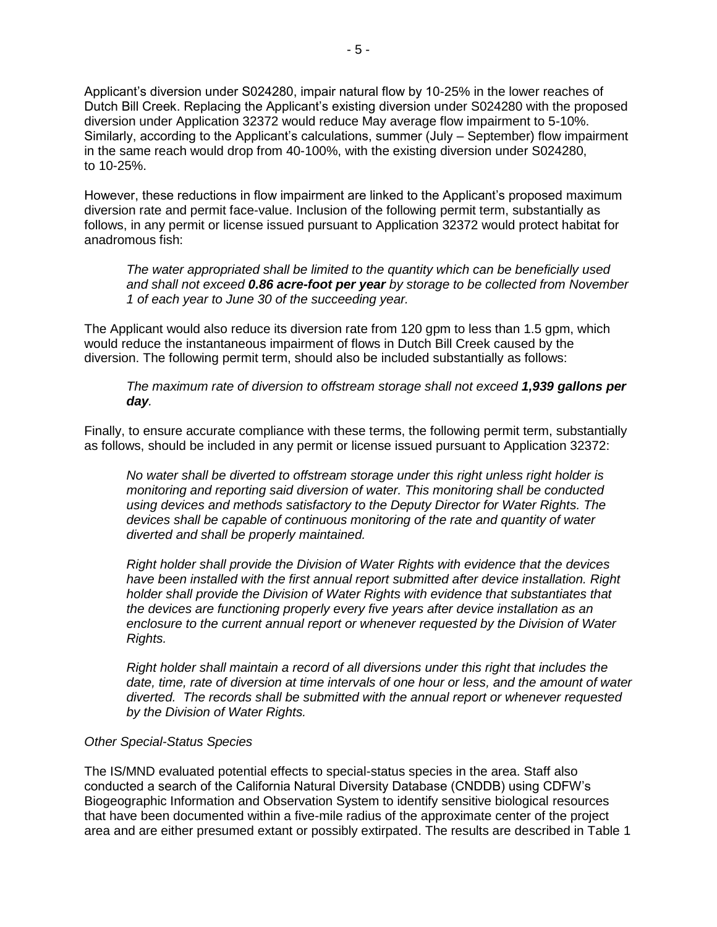Applicant's diversion under S024280, impair natural flow by 10-25% in the lower reaches of Dutch Bill Creek. Replacing the Applicant's existing diversion under S024280 with the proposed diversion under Application 32372 would reduce May average flow impairment to 5-10%. Similarly, according to the Applicant's calculations, summer (July – September) flow impairment in the same reach would drop from 40-100%, with the existing diversion under S024280, to 10-25%.

However, these reductions in flow impairment are linked to the Applicant's proposed maximum diversion rate and permit face-value. Inclusion of the following permit term, substantially as follows, in any permit or license issued pursuant to Application 32372 would protect habitat for anadromous fish:

*The water appropriated shall be limited to the quantity which can be beneficially used and shall not exceed 0.86 acre-foot per year by storage to be collected from November 1 of each year to June 30 of the succeeding year.*

The Applicant would also reduce its diversion rate from 120 gpm to less than 1.5 gpm, which would reduce the instantaneous impairment of flows in Dutch Bill Creek caused by the diversion. The following permit term, should also be included substantially as follows:

*The maximum rate of diversion to offstream storage shall not exceed 1,939 gallons per day.*

Finally, to ensure accurate compliance with these terms, the following permit term, substantially as follows, should be included in any permit or license issued pursuant to Application 32372:

*No water shall be diverted to offstream storage under this right unless right holder is monitoring and reporting said diversion of water. This monitoring shall be conducted using devices and methods satisfactory to the Deputy Director for Water Rights. The devices shall be capable of continuous monitoring of the rate and quantity of water diverted and shall be properly maintained.*

*Right holder shall provide the Division of Water Rights with evidence that the devices have been installed with the first annual report submitted after device installation. Right holder shall provide the Division of Water Rights with evidence that substantiates that the devices are functioning properly every five years after device installation as an enclosure to the current annual report or whenever requested by the Division of Water Rights.*

*Right holder shall maintain a record of all diversions under this right that includes the date, time, rate of diversion at time intervals of one hour or less, and the amount of water diverted. The records shall be submitted with the annual report or whenever requested by the Division of Water Rights.*

#### *Other Special-Status Species*

The IS/MND evaluated potential effects to special-status species in the area. Staff also conducted a search of the California Natural Diversity Database (CNDDB) using CDFW's Biogeographic Information and Observation System to identify sensitive biological resources that have been documented within a five-mile radius of the approximate center of the project area and are either presumed extant or possibly extirpated. The results are described in Table 1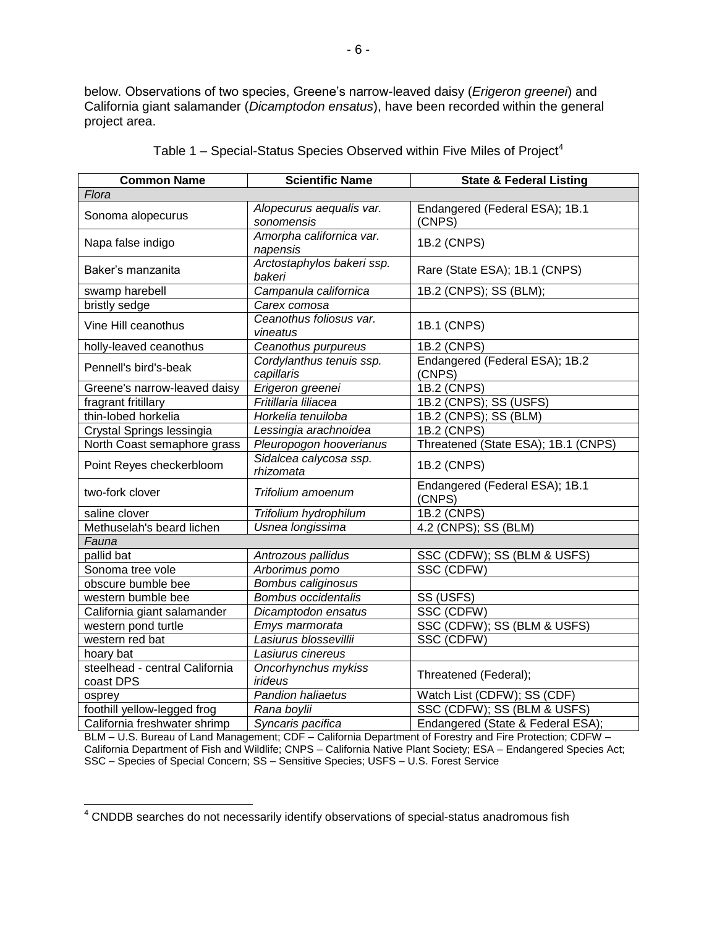below. Observations of two species, Greene's narrow-leaved daisy (*Erigeron greenei*) and California giant salamander (*Dicamptodon ensatus*), have been recorded within the general project area.

| <b>Common Name</b>                          | <b>Scientific Name</b>                 | <b>State &amp; Federal Listing</b>       |  |  |
|---------------------------------------------|----------------------------------------|------------------------------------------|--|--|
| Flora                                       |                                        |                                          |  |  |
| Sonoma alopecurus                           | Alopecurus aequalis var.<br>sonomensis | Endangered (Federal ESA); 1B.1<br>(CNPS) |  |  |
| Napa false indigo                           | Amorpha californica var.<br>napensis   | 1B.2 (CNPS)                              |  |  |
| Baker's manzanita                           | Arctostaphylos bakeri ssp.<br>bakeri   | Rare (State ESA); 1B.1 (CNPS)            |  |  |
| swamp harebell                              | Campanula californica                  | 1B.2 (CNPS); SS (BLM);                   |  |  |
| bristly sedge                               | Carex comosa                           |                                          |  |  |
| Vine Hill ceanothus                         | Ceanothus foliosus var.<br>vineatus    | 1B.1 (CNPS)                              |  |  |
| holly-leaved ceanothus                      | Ceanothus purpureus                    | 1B.2 (CNPS)                              |  |  |
| Pennell's bird's-beak                       | Cordylanthus tenuis ssp.<br>capillaris | Endangered (Federal ESA); 1B.2<br>(CNPS) |  |  |
| Greene's narrow-leaved daisy                | Erigeron greenei                       | 1B.2 (CNPS)                              |  |  |
| fragrant fritillary                         | Fritillaria liliacea                   | 1B.2 (CNPS); SS (USFS)                   |  |  |
| thin-lobed horkelia                         | Horkelia tenuiloba                     | 1B.2 (CNPS); SS (BLM)                    |  |  |
| Crystal Springs lessingia                   | Lessingia arachnoidea                  | 1B.2 (CNPS)                              |  |  |
| North Coast semaphore grass                 | Pleuropogon hooverianus                | Threatened (State ESA); 1B.1 (CNPS)      |  |  |
| Point Reyes checkerbloom                    | Sidalcea calycosa ssp.<br>rhizomata    | 1B.2 (CNPS)                              |  |  |
| two-fork clover                             | Trifolium amoenum                      | Endangered (Federal ESA); 1B.1<br>(CNPS) |  |  |
| saline clover                               | Trifolium hydrophilum                  | <b>1B.2 (CNPS)</b>                       |  |  |
| Methuselah's beard lichen                   | Usnea longissima                       | 4.2 (CNPS); SS (BLM)                     |  |  |
| Fauna                                       |                                        |                                          |  |  |
| pallid bat                                  | Antrozous pallidus                     | SSC (CDFW); SS (BLM & USFS)              |  |  |
| Sonoma tree vole                            | Arborimus pomo                         | SSC (CDFW)                               |  |  |
| obscure bumble bee                          | Bombus caliginosus                     |                                          |  |  |
| western bumble bee                          | <b>Bombus occidentalis</b>             | SS (USFS)                                |  |  |
| California giant salamander                 | Dicamptodon ensatus                    | SSC (CDFW)                               |  |  |
| western pond turtle                         | Emys marmorata                         | SSC (CDFW); SS (BLM & USFS)              |  |  |
| western red bat                             | Lasiurus blossevillii                  | SSC (CDFW)                               |  |  |
| hoary bat                                   | Lasiurus cinereus                      |                                          |  |  |
| steelhead - central California<br>coast DPS | Oncorhynchus mykiss<br><i>irideus</i>  | Threatened (Federal);                    |  |  |
| osprey                                      | <b>Pandion haliaetus</b>               | Watch List (CDFW); SS (CDF)              |  |  |
| foothill yellow-legged frog                 | Rana boylii                            | SSC (CDFW); SS (BLM & USFS)              |  |  |
| California freshwater shrimp                | Syncaris pacifica                      | Endangered (State & Federal ESA);        |  |  |

|  |  | Table 1 – Special-Status Species Observed within Five Miles of Project <sup>4</sup> |  |  |  |  |  |  |
|--|--|-------------------------------------------------------------------------------------|--|--|--|--|--|--|
|--|--|-------------------------------------------------------------------------------------|--|--|--|--|--|--|

BLM – U.S. Bureau of Land Management; CDF – California Department of Forestry and Fire Protection; CDFW – California Department of Fish and Wildlife; CNPS – California Native Plant Society; ESA – Endangered Species Act; SSC – Species of Special Concern; SS – Sensitive Species; USFS – U.S. Forest Service

 $\overline{\phantom{a}}$  $4$  CNDDB searches do not necessarily identify observations of special-status anadromous fish